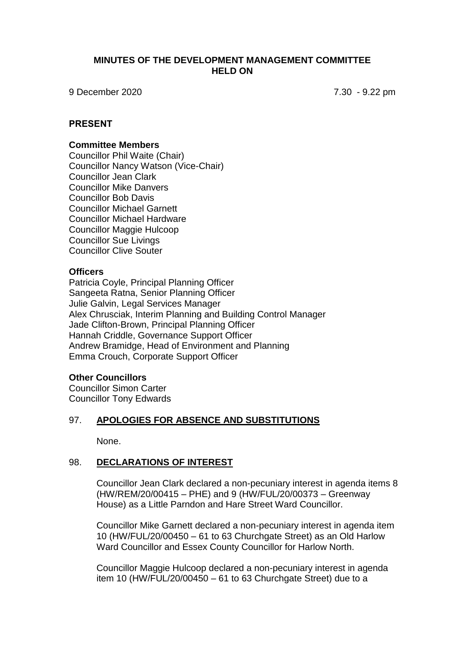### **MINUTES OF THE DEVELOPMENT MANAGEMENT COMMITTEE HELD ON**

9 December 2020 7.30 - 9.22 pm

### **PRESENT**

#### **Committee Members**

Councillor Phil Waite (Chair) Councillor Nancy Watson (Vice-Chair) Councillor Jean Clark Councillor Mike Danvers Councillor Bob Davis Councillor Michael Garnett Councillor Michael Hardware Councillor Maggie Hulcoop Councillor Sue Livings Councillor Clive Souter

### **Officers**

Patricia Coyle, Principal Planning Officer Sangeeta Ratna, Senior Planning Officer Julie Galvin, Legal Services Manager Alex Chrusciak, Interim Planning and Building Control Manager Jade Clifton-Brown, Principal Planning Officer Hannah Criddle, Governance Support Officer Andrew Bramidge, Head of Environment and Planning Emma Crouch, Corporate Support Officer

### **Other Councillors**

Councillor Simon Carter Councillor Tony Edwards

### 97. **APOLOGIES FOR ABSENCE AND SUBSTITUTIONS**

None.

# 98. **DECLARATIONS OF INTEREST**

Councillor Jean Clark declared a non-pecuniary interest in agenda items 8 (HW/REM/20/00415 – PHE) and 9 (HW/FUL/20/00373 – Greenway House) as a Little Parndon and Hare Street Ward Councillor.

Councillor Mike Garnett declared a non-pecuniary interest in agenda item 10 (HW/FUL/20/00450 – 61 to 63 Churchgate Street) as an Old Harlow Ward Councillor and Essex County Councillor for Harlow North.

Councillor Maggie Hulcoop declared a non-pecuniary interest in agenda item 10 (HW/FUL/20/00450 – 61 to 63 Churchgate Street) due to a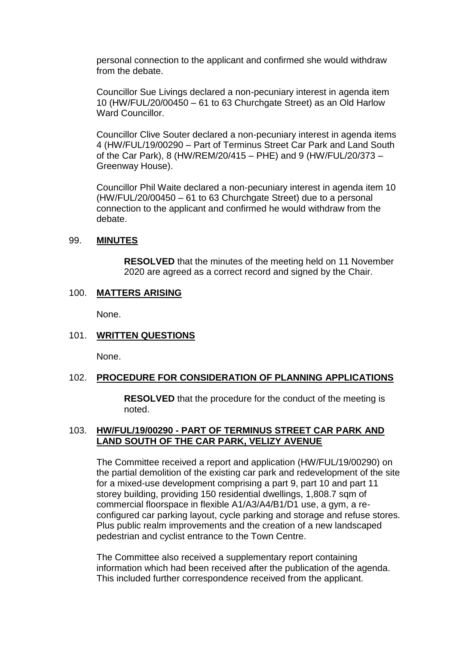personal connection to the applicant and confirmed she would withdraw from the debate.

Councillor Sue Livings declared a non-pecuniary interest in agenda item 10 (HW/FUL/20/00450 – 61 to 63 Churchgate Street) as an Old Harlow Ward Councillor.

Councillor Clive Souter declared a non-pecuniary interest in agenda items 4 (HW/FUL/19/00290 – Part of Terminus Street Car Park and Land South of the Car Park), 8 (HW/REM/20/415 – PHE) and 9 (HW/FUL/20/373 – Greenway House).

Councillor Phil Waite declared a non-pecuniary interest in agenda item 10 (HW/FUL/20/00450 – 61 to 63 Churchgate Street) due to a personal connection to the applicant and confirmed he would withdraw from the debate.

#### 99. **MINUTES**

**RESOLVED** that the minutes of the meeting held on 11 November 2020 are agreed as a correct record and signed by the Chair.

# 100. **MATTERS ARISING**

None.

### 101. **WRITTEN QUESTIONS**

None.

### 102. **PROCEDURE FOR CONSIDERATION OF PLANNING APPLICATIONS**

**RESOLVED** that the procedure for the conduct of the meeting is noted.

### 103. **HW/FUL/19/00290 - PART OF TERMINUS STREET CAR PARK AND LAND SOUTH OF THE CAR PARK, VELIZY AVENUE**

The Committee received a report and application (HW/FUL/19/00290) on the partial demolition of the existing car park and redevelopment of the site for a mixed-use development comprising a part 9, part 10 and part 11 storey building, providing 150 residential dwellings, 1,808.7 sqm of commercial floorspace in flexible A1/A3/A4/B1/D1 use, a gym, a reconfigured car parking layout, cycle parking and storage and refuse stores. Plus public realm improvements and the creation of a new landscaped pedestrian and cyclist entrance to the Town Centre.

The Committee also received a supplementary report containing information which had been received after the publication of the agenda. This included further correspondence received from the applicant.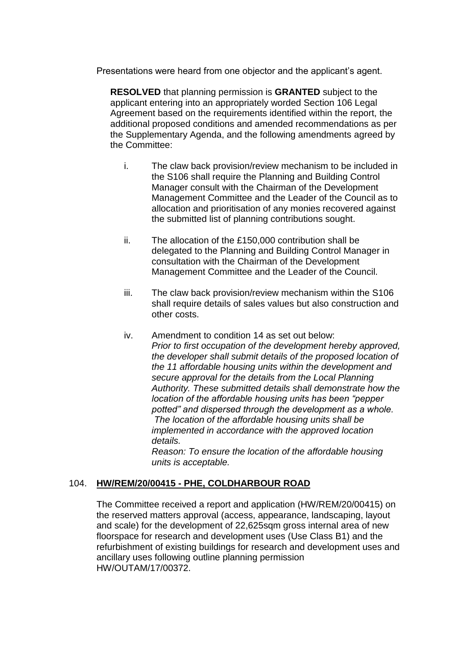Presentations were heard from one objector and the applicant's agent.

**RESOLVED** that planning permission is **GRANTED** subject to the applicant entering into an appropriately worded Section 106 Legal Agreement based on the requirements identified within the report, the additional proposed conditions and amended recommendations as per the Supplementary Agenda, and the following amendments agreed by the Committee:

- i. The claw back provision/review mechanism to be included in the S106 shall require the Planning and Building Control Manager consult with the Chairman of the Development Management Committee and the Leader of the Council as to allocation and prioritisation of any monies recovered against the submitted list of planning contributions sought.
- ii. The allocation of the £150,000 contribution shall be delegated to the Planning and Building Control Manager in consultation with the Chairman of the Development Management Committee and the Leader of the Council.
- iii. The claw back provision/review mechanism within the S106 shall require details of sales values but also construction and other costs.
- iv. Amendment to condition 14 as set out below: *Prior to first occupation of the development hereby approved, the developer shall submit details of the proposed location of the 11 affordable housing units within the development and secure approval for the details from the Local Planning Authority. These submitted details shall demonstrate how the location of the affordable housing units has been "pepper potted" and dispersed through the development as a whole. The location of the affordable housing units shall be implemented in accordance with the approved location details. Reason: To ensure the location of the affordable housing*

*units is acceptable.* 

# 104. **HW/REM/20/00415 - PHE, COLDHARBOUR ROAD**

The Committee received a report and application (HW/REM/20/00415) on the reserved matters approval (access, appearance, landscaping, layout and scale) for the development of 22,625sqm gross internal area of new floorspace for research and development uses (Use Class B1) and the refurbishment of existing buildings for research and development uses and ancillary uses following outline planning permission HW/OUTAM/17/00372.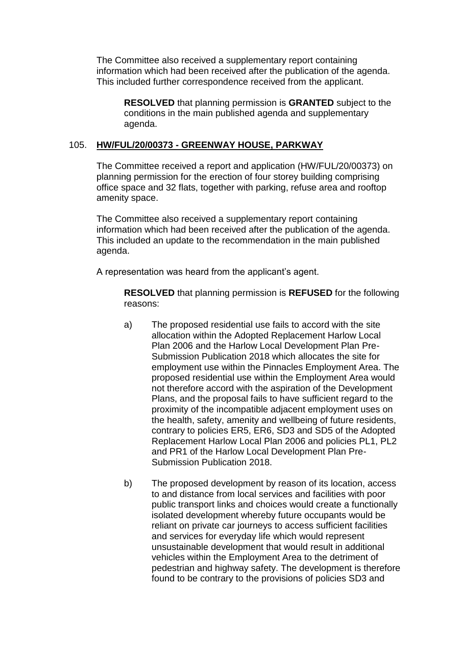The Committee also received a supplementary report containing information which had been received after the publication of the agenda. This included further correspondence received from the applicant.

**RESOLVED** that planning permission is **GRANTED** subject to the conditions in the main published agenda and supplementary agenda.

### 105. **HW/FUL/20/00373 - GREENWAY HOUSE, PARKWAY**

The Committee received a report and application (HW/FUL/20/00373) on planning permission for the erection of four storey building comprising office space and 32 flats, together with parking, refuse area and rooftop amenity space.

The Committee also received a supplementary report containing information which had been received after the publication of the agenda. This included an update to the recommendation in the main published agenda.

A representation was heard from the applicant's agent.

**RESOLVED** that planning permission is **REFUSED** for the following reasons:

- a) The proposed residential use fails to accord with the site allocation within the Adopted Replacement Harlow Local Plan 2006 and the Harlow Local Development Plan Pre-Submission Publication 2018 which allocates the site for employment use within the Pinnacles Employment Area. The proposed residential use within the Employment Area would not therefore accord with the aspiration of the Development Plans, and the proposal fails to have sufficient regard to the proximity of the incompatible adjacent employment uses on the health, safety, amenity and wellbeing of future residents, contrary to policies ER5, ER6, SD3 and SD5 of the Adopted Replacement Harlow Local Plan 2006 and policies PL1, PL2 and PR1 of the Harlow Local Development Plan Pre-Submission Publication 2018.
- b) The proposed development by reason of its location, access to and distance from local services and facilities with poor public transport links and choices would create a functionally isolated development whereby future occupants would be reliant on private car journeys to access sufficient facilities and services for everyday life which would represent unsustainable development that would result in additional vehicles within the Employment Area to the detriment of pedestrian and highway safety. The development is therefore found to be contrary to the provisions of policies SD3 and